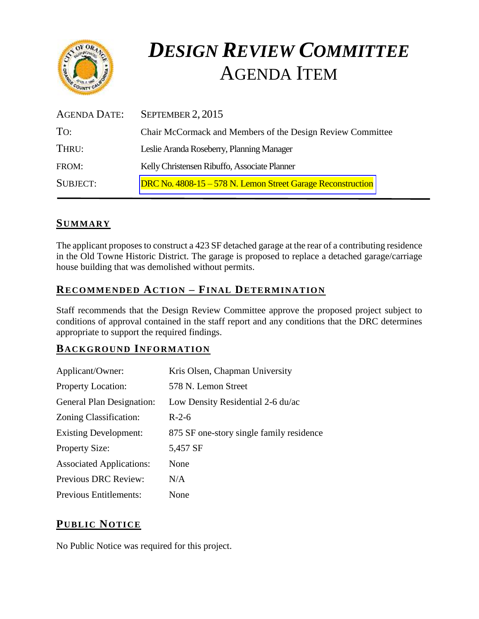

# *DESIGN REVIEW COMMITTEE*  AGENDA ITEM

| <b>AGENDA DATE:</b> | SEPTEMBER 2, 2015                                           |
|---------------------|-------------------------------------------------------------|
| To:                 | Chair McCormack and Members of the Design Review Committee  |
| THRU:               | Leslie Aranda Roseberry, Planning Manager                   |
| FROM:               | Kelly Christensen Ribuffo, Associate Planner                |
| <b>SUBJECT:</b>     | DRC No. 4808-15 – 578 N. Lemon Street Garage Reconstruction |

# **SUMMARY**

The applicant proposes to construct a 423 SF detached garage at the rear of a contributing residence in the Old Towne Historic District. The garage is proposed to replace a detached garage/carriage house building that was demolished without permits.

# **RECOMMENDED ACTION – FINAL DETERMINATION**

Staff recommends that the Design Review Committee approve the proposed project subject to conditions of approval contained in the staff report and any conditions that the DRC determines appropriate to support the required findings.

#### **BACKGROUND INFORMATION**

| Applicant/Owner:                 | Kris Olsen, Chapman University           |
|----------------------------------|------------------------------------------|
| Property Location:               | 578 N. Lemon Street                      |
| <b>General Plan Designation:</b> | Low Density Residential 2-6 du/ac        |
| Zoning Classification:           | $R-2-6$                                  |
| <b>Existing Development:</b>     | 875 SF one-story single family residence |
| <b>Property Size:</b>            | 5,457 SF                                 |
| <b>Associated Applications:</b>  | None                                     |
| Previous DRC Review:             | N/A                                      |
| <b>Previous Entitlements:</b>    | None                                     |

# **PUB LIC NOTICE**

No Public Notice was required for this project.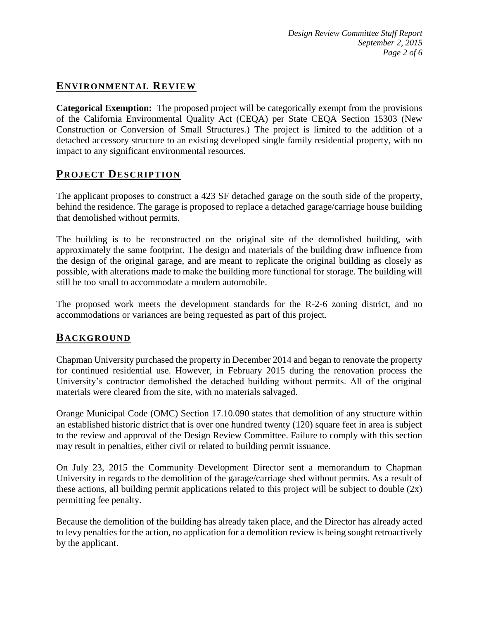# **ENVIRONMENTAL REVIEW**

**Categorical Exemption:** The proposed project will be categorically exempt from the provisions of the California Environmental Quality Act (CEQA) per State CEQA Section 15303 (New Construction or Conversion of Small Structures.) The project is limited to the addition of a detached accessory structure to an existing developed single family residential property, with no impact to any significant environmental resources.

## **PROJECT DESCRIP TION**

The applicant proposes to construct a 423 SF detached garage on the south side of the property, behind the residence. The garage is proposed to replace a detached garage/carriage house building that demolished without permits.

The building is to be reconstructed on the original site of the demolished building, with approximately the same footprint. The design and materials of the building draw influence from the design of the original garage, and are meant to replicate the original building as closely as possible, with alterations made to make the building more functional for storage. The building will still be too small to accommodate a modern automobile.

The proposed work meets the development standards for the R-2-6 zoning district, and no accommodations or variances are being requested as part of this project.

#### **BACKGROUND**

Chapman University purchased the property in December 2014 and began to renovate the property for continued residential use. However, in February 2015 during the renovation process the University's contractor demolished the detached building without permits. All of the original materials were cleared from the site, with no materials salvaged.

Orange Municipal Code (OMC) Section 17.10.090 states that demolition of any structure within an established historic district that is over one hundred twenty (120) square feet in area is subject to the review and approval of the Design Review Committee. Failure to comply with this section may result in penalties, either civil or related to building permit issuance.

On July 23, 2015 the Community Development Director sent a memorandum to Chapman University in regards to the demolition of the garage/carriage shed without permits. As a result of these actions, all building permit applications related to this project will be subject to double  $(2x)$ permitting fee penalty.

Because the demolition of the building has already taken place, and the Director has already acted to levy penalties for the action, no application for a demolition review is being sought retroactively by the applicant.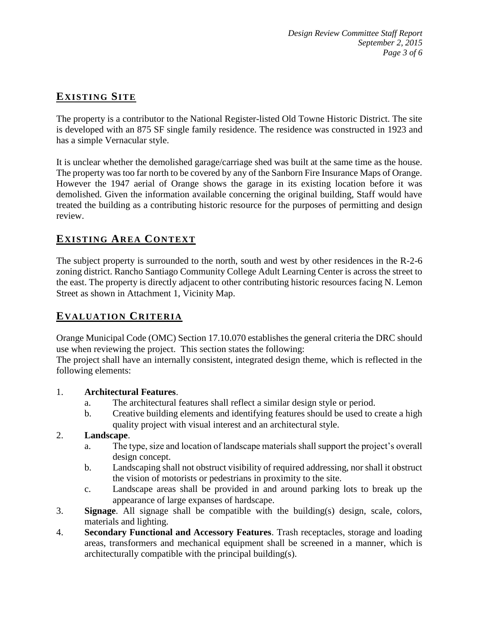# **EXISTING SITE**

The property is a contributor to the National Register-listed Old Towne Historic District. The site is developed with an 875 SF single family residence. The residence was constructed in 1923 and has a simple Vernacular style.

It is unclear whether the demolished garage/carriage shed was built at the same time as the house. The property was too far north to be covered by any of the Sanborn Fire Insurance Maps of Orange. However the 1947 aerial of Orange shows the garage in its existing location before it was demolished. Given the information available concerning the original building, Staff would have treated the building as a contributing historic resource for the purposes of permitting and design review.

# **EXISTING AREA CONTEXT**

The subject property is surrounded to the north, south and west by other residences in the R-2-6 zoning district. Rancho Santiago Community College Adult Learning Center is across the street to the east. The property is directly adjacent to other contributing historic resources facing N. Lemon Street as shown in Attachment 1, Vicinity Map.

# **EVALUATION CRITERIA**

Orange Municipal Code (OMC) Section 17.10.070 establishes the general criteria the DRC should use when reviewing the project. This section states the following:

The project shall have an internally consistent, integrated design theme, which is reflected in the following elements:

#### 1. **Architectural Features**.

- a. The architectural features shall reflect a similar design style or period.
- b. Creative building elements and identifying features should be used to create a high quality project with visual interest and an architectural style.

#### 2. **Landscape**.

- a. The type, size and location of landscape materials shall support the project's overall design concept.
- b. Landscaping shall not obstruct visibility of required addressing, nor shall it obstruct the vision of motorists or pedestrians in proximity to the site.
- c. Landscape areas shall be provided in and around parking lots to break up the appearance of large expanses of hardscape.
- 3. **Signage**. All signage shall be compatible with the building(s) design, scale, colors, materials and lighting.
- 4. **Secondary Functional and Accessory Features**. Trash receptacles, storage and loading areas, transformers and mechanical equipment shall be screened in a manner, which is architecturally compatible with the principal building(s).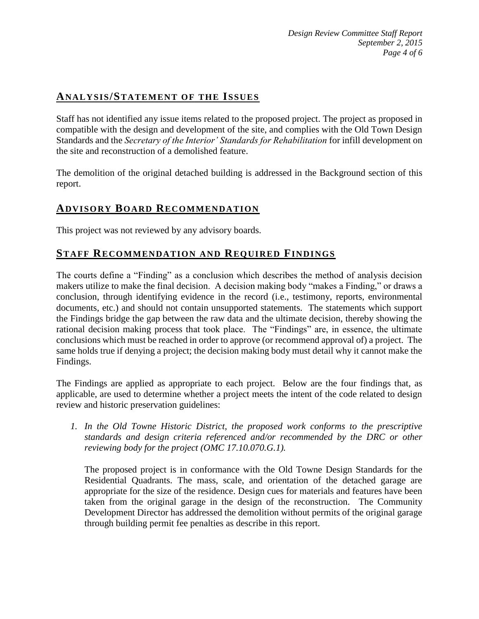# **ANALY SIS/STATEMENT OF THE ISSUES**

Staff has not identified any issue items related to the proposed project. The project as proposed in compatible with the design and development of the site, and complies with the Old Town Design Standards and the *Secretary of the Interior' Standards for Rehabilitation* for infill development on the site and reconstruction of a demolished feature.

The demolition of the original detached building is addressed in the Background section of this report.

# **ADVISORY BOARD RECOMMENDATION**

This project was not reviewed by any advisory boards.

## **STAFF RECOMMENDATION AND REQUIRED FINDINGS**

The courts define a "Finding" as a conclusion which describes the method of analysis decision makers utilize to make the final decision. A decision making body "makes a Finding," or draws a conclusion, through identifying evidence in the record (i.e., testimony, reports, environmental documents, etc.) and should not contain unsupported statements. The statements which support the Findings bridge the gap between the raw data and the ultimate decision, thereby showing the rational decision making process that took place. The "Findings" are, in essence, the ultimate conclusions which must be reached in order to approve (or recommend approval of) a project. The same holds true if denying a project; the decision making body must detail why it cannot make the Findings.

The Findings are applied as appropriate to each project.Below are the four findings that, as applicable, are used to determine whether a project meets the intent of the code related to design review and historic preservation guidelines:

*1. In the Old Towne Historic District, the proposed work conforms to the prescriptive standards and design criteria referenced and/or recommended by the DRC or other reviewing body for the project (OMC 17.10.070.G.1).*

The proposed project is in conformance with the Old Towne Design Standards for the Residential Quadrants. The mass, scale, and orientation of the detached garage are appropriate for the size of the residence. Design cues for materials and features have been taken from the original garage in the design of the reconstruction. The Community Development Director has addressed the demolition without permits of the original garage through building permit fee penalties as describe in this report.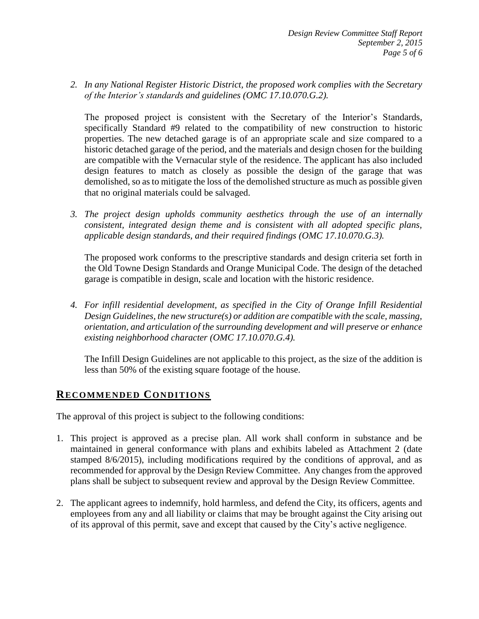*2. In any National Register Historic District, the proposed work complies with the Secretary of the Interior's standards and guidelines (OMC 17.10.070.G.2).*

The proposed project is consistent with the Secretary of the Interior's Standards, specifically Standard #9 related to the compatibility of new construction to historic properties. The new detached garage is of an appropriate scale and size compared to a historic detached garage of the period, and the materials and design chosen for the building are compatible with the Vernacular style of the residence. The applicant has also included design features to match as closely as possible the design of the garage that was demolished, so as to mitigate the loss of the demolished structure as much as possible given that no original materials could be salvaged.

*3. The project design upholds community aesthetics through the use of an internally consistent, integrated design theme and is consistent with all adopted specific plans, applicable design standards, and their required findings (OMC 17.10.070.G.3).*

The proposed work conforms to the prescriptive standards and design criteria set forth in the Old Towne Design Standards and Orange Municipal Code. The design of the detached garage is compatible in design, scale and location with the historic residence.

*4. For infill residential development, as specified in the City of Orange Infill Residential Design Guidelines, the new structure(s) or addition are compatible with the scale, massing, orientation, and articulation of the surrounding development and will preserve or enhance existing neighborhood character (OMC 17.10.070.G.4).*

The Infill Design Guidelines are not applicable to this project, as the size of the addition is less than 50% of the existing square footage of the house.

#### **RECOMMENDED CONDITIONS**

The approval of this project is subject to the following conditions:

- 1. This project is approved as a precise plan. All work shall conform in substance and be maintained in general conformance with plans and exhibits labeled as Attachment 2 (date stamped 8/6/2015), including modifications required by the conditions of approval, and as recommended for approval by the Design Review Committee. Any changes from the approved plans shall be subject to subsequent review and approval by the Design Review Committee.
- 2. The applicant agrees to indemnify, hold harmless, and defend the City, its officers, agents and employees from any and all liability or claims that may be brought against the City arising out of its approval of this permit, save and except that caused by the City's active negligence.